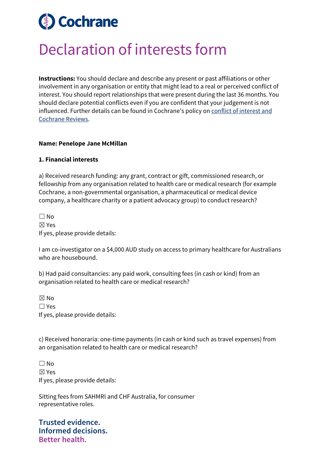# **Cochrane**

## Declaration of interests form

**Instructions:** You should declare and describe any present or past affiliations or other involvement in any organisation or entity that might lead to a real or perceived conflict of interest. You should report relationships that were present during the last 36 months. You should declare potential conflicts even if you are confident that your judgement is not influenced. Further details can be found in Cochrane's policy on [conflict of interest and](https://documentation.cochrane.org/display/EPPR/Policy%3A+conflicts+of+interest+and+Cochrane+Reviews)  [Cochrane Reviews.](https://documentation.cochrane.org/display/EPPR/Policy%3A+conflicts+of+interest+and+Cochrane+Reviews)

### **Name: Penelope Jane McMillan**

### **1. Financial interests**

a) Received research funding: any grant, contract or gift, commissioned research, or fellowship from any organisation related to health care or medical research (for example Cochrane, a non-governmental organisation, a pharmaceutical or medical device company, a healthcare charity or a patient advocacy group) to conduct research?

 $\Box$  No ☒ Yes If yes, please provide details:

I am co-investigator on a \$4,000 AUD study on access to primary healthcare for Australians who are housebound.

b) Had paid consultancies: any paid work, consulting fees (in cash or kind) from an organisation related to health care or medical research?

☒ No ☐ Yes If yes, please provide details:

c) Received honoraria: one-time payments (in cash or kind such as travel expenses) from an organisation related to health care or medical research?

 $\Box$  No ☒ Yes If yes, please provide details:

Sitting fees from SAHMRI and CHF Australia, for consumer representative roles.

**Trusted evidence. Informed decisions. Better health.**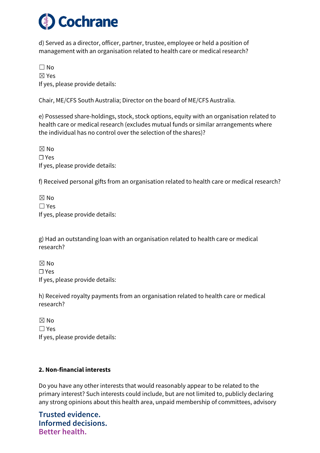

d) Served as a director, officer, partner, trustee, employee or held a position of management with an organisation related to health care or medical research?

☐ No ☒ Yes If yes, please provide details:

Chair, ME/CFS South Australia; Director on the board of ME/CFS Australia.

e) Possessed share-holdings, stock, stock options, equity with an organisation related to health care or medical research (excludes mutual funds or similar arrangements where the individual has no control over the selection of the shares)?

☒ No ☐ Yes If yes, please provide details:

f) Received personal gifts from an organisation related to health care or medical research?

☒ No ☐ Yes If yes, please provide details:

g) Had an outstanding loan with an organisation related to health care or medical research?

 $\boxtimes$  No ☐ Yes If yes, please provide details:

h) Received royalty payments from an organisation related to health care or medical research?

☒ No ☐ Yes If yes, please provide details:

### **2. Non-financial interests**

Do you have any other interests that would reasonably appear to be related to the primary interest? Such interests could include, but are not limited to, publicly declaring any strong opinions about this health area, unpaid membership of committees, advisory

**Trusted evidence. Informed decisions. Better health.**